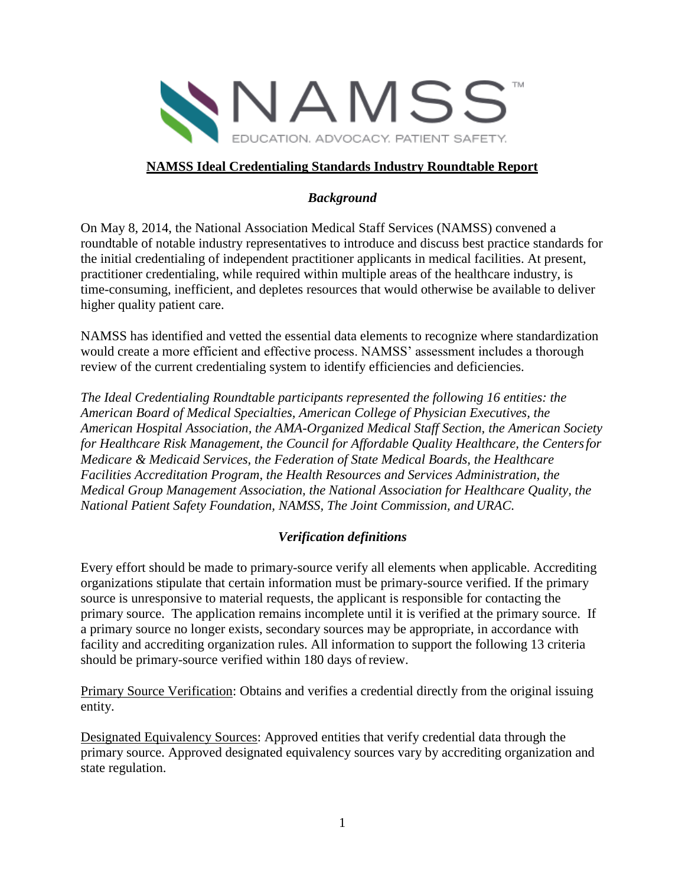

### **NAMSS Ideal Credentialing Standards Industry Roundtable Report**

# *Background*

On May 8, 2014, the National Association Medical Staff Services (NAMSS) convened a roundtable of notable industry representatives to introduce and discuss best practice standards for the initial credentialing of independent practitioner applicants in medical facilities. At present, practitioner credentialing, while required within multiple areas of the healthcare industry, is time-consuming, inefficient, and depletes resources that would otherwise be available to deliver higher quality patient care.

NAMSS has identified and vetted the essential data elements to recognize where standardization would create a more efficient and effective process. NAMSS' assessment includes a thorough review of the current credentialing system to identify efficiencies and deficiencies.

*The Ideal Credentialing Roundtable participants represented the following 16 entities: the American Board of Medical Specialties, American College of Physician Executives, the American Hospital Association, the AMA-Organized Medical Staff Section, the American Society for Healthcare Risk Management, the Council for Affordable Quality Healthcare, the Centersfor Medicare & Medicaid Services, the Federation of State Medical Boards, the Healthcare Facilities Accreditation Program, the Health Resources and Services Administration, the Medical Group Management Association, the National Association for Healthcare Quality, the National Patient Safety Foundation, NAMSS, The Joint Commission, and URAC.*

# *Verification definitions*

Every effort should be made to primary-source verify all elements when applicable. Accrediting organizations stipulate that certain information must be primary-source verified. If the primary source is unresponsive to material requests, the applicant is responsible for contacting the primary source. The application remains incomplete until it is verified at the primary source. If a primary source no longer exists, secondary sources may be appropriate, in accordance with facility and accrediting organization rules. All information to support the following 13 criteria should be primary-source verified within 180 days of review.

Primary Source Verification: Obtains and verifies a credential directly from the original issuing entity.

Designated Equivalency Sources: Approved entities that verify credential data through the primary source. Approved designated equivalency sources vary by accrediting organization and state regulation.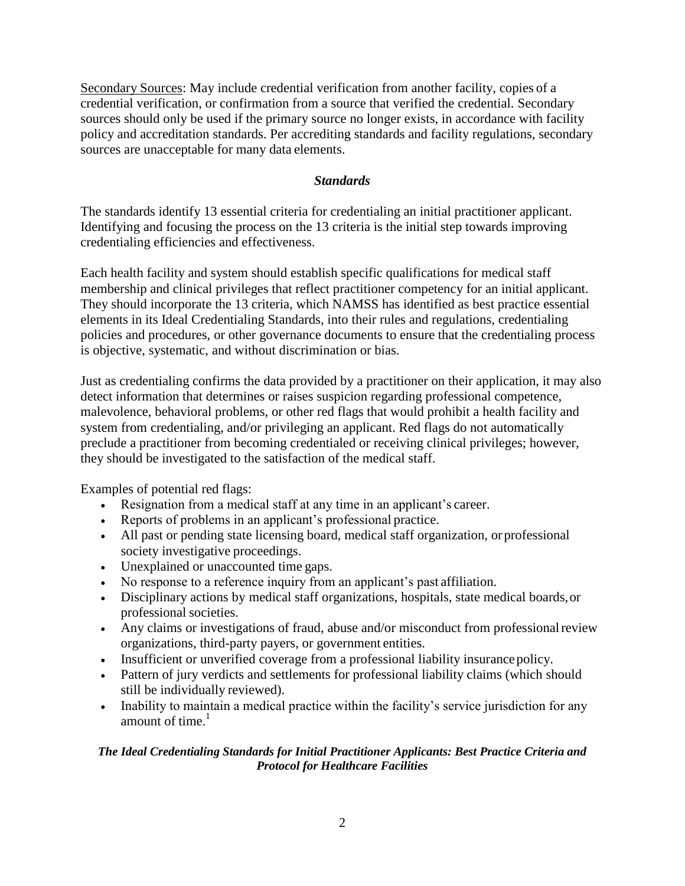Secondary Sources: May include credential verification from another facility, copies of a credential verification, or confirmation from a source that verified the credential. Secondary sources should only be used if the primary source no longer exists, in accordance with facility policy and accreditation standards. Per accrediting standards and facility regulations, secondary sources are unacceptable for many data elements.

### *Standards*

The standards identify 13 essential criteria for credentialing an initial practitioner applicant. Identifying and focusing the process on the 13 criteria is the initial step towards improving credentialing efficiencies and effectiveness.

Each health facility and system should establish specific qualifications for medical staff membership and clinical privileges that reflect practitioner competency for an initial applicant. They should incorporate the 13 criteria, which NAMSS has identified as best practice essential elements in its Ideal Credentialing Standards, into their rules and regulations, credentialing policies and procedures, or other governance documents to ensure that the credentialing process is objective, systematic, and without discrimination or bias.

Just as credentialing confirms the data provided by a practitioner on their application, it may also detect information that determines or raises suspicion regarding professional competence, malevolence, behavioral problems, or other red flags that would prohibit a health facility and system from credentialing, and/or privileging an applicant. Red flags do not automatically preclude a practitioner from becoming credentialed or receiving clinical privileges; however, they should be investigated to the satisfaction of the medical staff.

Examples of potential red flags:

- Resignation from a medical staff at any time in an applicant's career.
- Reports of problems in an applicant's professional practice.
- All past or pending state licensing board, medical staff organization, orprofessional society investigative proceedings.
- Unexplained or unaccounted time gaps.
- No response to a reference inquiry from an applicant's past affiliation.
- Disciplinary actions by medical staff organizations, hospitals, state medical boards,or professional societies.
- Any claims or investigations of fraud, abuse and/or misconduct from professionalreview organizations, third-party payers, or government entities.
- Insufficient or unverified coverage from a professional liability insurancepolicy.
- Pattern of jury verdicts and settlements for professional liability claims (which should still be individually reviewed).
- Inability to maintain a medical practice within the facility's service jurisdiction for any amount of time. $1$

### *The Ideal Credentialing Standards for Initial Practitioner Applicants: Best Practice Criteria and Protocol for Healthcare Facilities*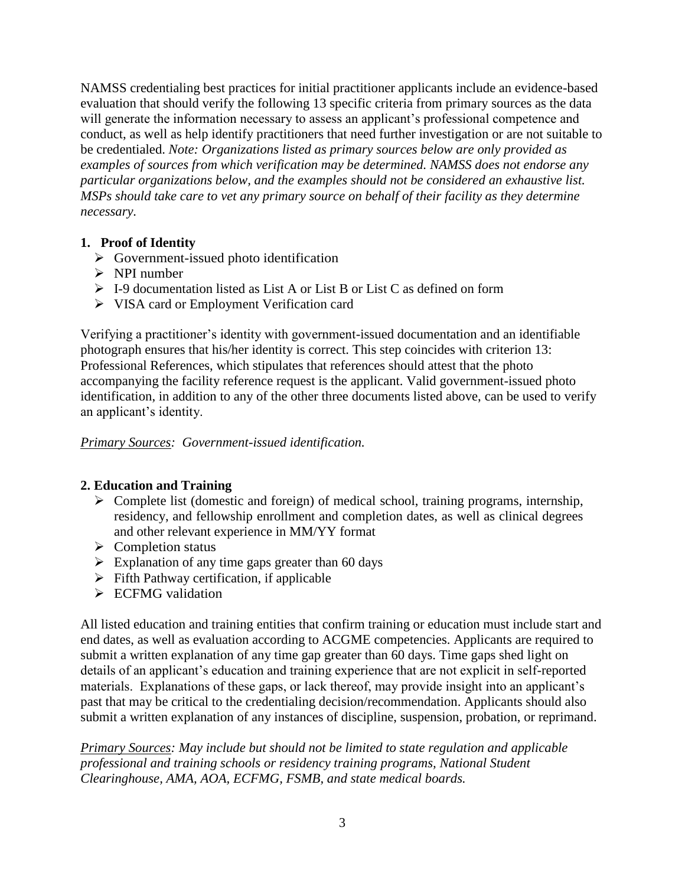NAMSS credentialing best practices for initial practitioner applicants include an evidence-based evaluation that should verify the following 13 specific criteria from primary sources as the data will generate the information necessary to assess an applicant's professional competence and conduct, as well as help identify practitioners that need further investigation or are not suitable to be credentialed. *Note: Organizations listed as primary sources below are only provided as examples of sources from which verification may be determined. NAMSS does not endorse any particular organizations below, and the examples should not be considered an exhaustive list. MSPs should take care to vet any primary source on behalf of their facility as they determine necessary.*

# **1. Proof of Identity**

- $\triangleright$  Government-issued photo identification
- $\triangleright$  NPI number
- $\triangleright$  I-9 documentation listed as List A or List B or List C as defined on form
- VISA card or Employment Verification card

Verifying a practitioner's identity with government-issued documentation and an identifiable photograph ensures that his/her identity is correct. This step coincides with criterion 13: Professional References, which stipulates that references should attest that the photo accompanying the facility reference request is the applicant. Valid government-issued photo identification, in addition to any of the other three documents listed above, can be used to verify an applicant's identity.

*Primary Sources: Government-issued identification.*

# **2. Education and Training**

- $\triangleright$  Complete list (domestic and foreign) of medical school, training programs, internship, residency, and fellowship enrollment and completion dates, as well as clinical degrees and other relevant experience in MM/YY format
- $\triangleright$  Completion status
- $\triangleright$  Explanation of any time gaps greater than 60 days
- $\triangleright$  Fifth Pathway certification, if applicable
- $\triangleright$  ECFMG validation

All listed education and training entities that confirm training or education must include start and end dates, as well as evaluation according to ACGME competencies. Applicants are required to submit a written explanation of any time gap greater than 60 days. Time gaps shed light on details of an applicant's education and training experience that are not explicit in self-reported materials. Explanations of these gaps, or lack thereof, may provide insight into an applicant's past that may be critical to the credentialing decision/recommendation. Applicants should also submit a written explanation of any instances of discipline, suspension, probation, or reprimand.

*Primary Sources: May include but should not be limited to state regulation and applicable professional and training schools or residency training programs, National Student Clearinghouse, AMA, AOA, ECFMG, FSMB, and state medical boards.*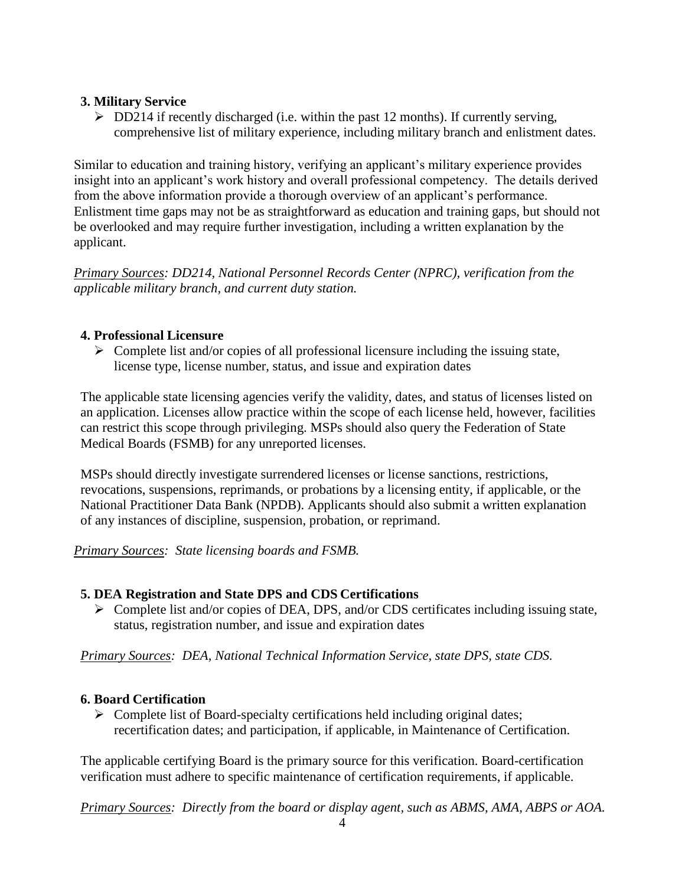### **3. Military Service**

 $\triangleright$  DD214 if recently discharged (i.e. within the past 12 months). If currently serving, comprehensive list of military experience, including military branch and enlistment dates.

Similar to education and training history, verifying an applicant's military experience provides insight into an applicant's work history and overall professional competency. The details derived from the above information provide a thorough overview of an applicant's performance. Enlistment time gaps may not be as straightforward as education and training gaps, but should not be overlooked and may require further investigation, including a written explanation by the applicant.

*Primary Sources: DD214, National Personnel Records Center (NPRC), verification from the applicable military branch, and current duty station.*

### **4. Professional Licensure**

 $\triangleright$  Complete list and/or copies of all professional licensure including the issuing state, license type, license number, status, and issue and expiration dates

The applicable state licensing agencies verify the validity, dates, and status of licenses listed on an application. Licenses allow practice within the scope of each license held, however, facilities can restrict this scope through privileging. MSPs should also query the Federation of State Medical Boards (FSMB) for any unreported licenses.

MSPs should directly investigate surrendered licenses or license sanctions, restrictions, revocations, suspensions, reprimands, or probations by a licensing entity, if applicable, or the National Practitioner Data Bank (NPDB). Applicants should also submit a written explanation of any instances of discipline, suspension, probation, or reprimand.

*Primary Sources: State licensing boards and FSMB.*

# **5. DEA Registration and State DPS and CDS Certifications**

 Complete list and/or copies of DEA, DPS, and/or CDS certificates including issuing state, status, registration number, and issue and expiration dates

*Primary Sources: DEA, National Technical Information Service, state DPS, state CDS.*

# **6. Board Certification**

 Complete list of Board-specialty certifications held including original dates; recertification dates; and participation, if applicable, in Maintenance of Certification.

The applicable certifying Board is the primary source for this verification. Board-certification verification must adhere to specific maintenance of certification requirements, if applicable.

*Primary Sources: Directly from the board or display agent, such as ABMS, AMA, ABPS or AOA.*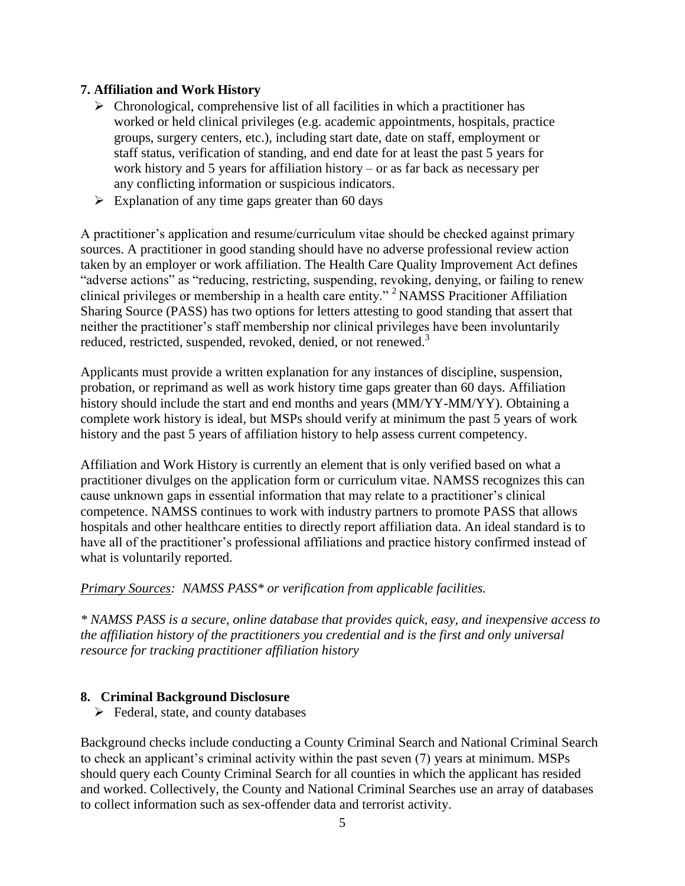### **7. Affiliation and Work History**

- $\triangleright$  Chronological, comprehensive list of all facilities in which a practitioner has worked or held clinical privileges (e.g. academic appointments, hospitals, practice groups, surgery centers, etc.), including start date, date on staff, employment or staff status, verification of standing, and end date for at least the past 5 years for work history and 5 years for affiliation history – or as far back as necessary per any conflicting information or suspicious indicators.
- $\triangleright$  Explanation of any time gaps greater than 60 days

A practitioner's application and resume/curriculum vitae should be checked against primary sources. A practitioner in good standing should have no adverse professional review action taken by an employer or work affiliation. The Health Care Quality Improvement Act defines "adverse actions" as "reducing, restricting, suspending, revoking, denying, or failing to renew clinical privileges or membership in a health care entity." <sup>2</sup>NAMSS Pracitioner Affiliation Sharing Source (PASS) has two options for letters attesting to good standing that assert that neither the practitioner's staff membership nor clinical privileges have been involuntarily reduced, restricted, suspended, revoked, denied, or not renewed.<sup>3</sup>

Applicants must provide a written explanation for any instances of discipline, suspension, probation, or reprimand as well as work history time gaps greater than 60 days. Affiliation history should include the start and end months and years (MM/YY-MM/YY). Obtaining a complete work history is ideal, but MSPs should verify at minimum the past 5 years of work history and the past 5 years of affiliation history to help assess current competency.

Affiliation and Work History is currently an element that is only verified based on what a practitioner divulges on the application form or curriculum vitae. NAMSS recognizes this can cause unknown gaps in essential information that may relate to a practitioner's clinical competence. NAMSS continues to work with industry partners to promote PASS that allows hospitals and other healthcare entities to directly report affiliation data. An ideal standard is to have all of the practitioner's professional affiliations and practice history confirmed instead of what is voluntarily reported.

*Primary Sources: NAMSS PASS\* or verification from applicable facilities.*

*\* NAMSS PASS is a secure, online database that provides quick, easy, and inexpensive access to the affiliation history of the practitioners you credential and is the first and only universal resource for tracking practitioner affiliation history*

# **8. Criminal Background Disclosure**

 $\triangleright$  Federal, state, and county databases

Background checks include conducting a County Criminal Search and National Criminal Search to check an applicant's criminal activity within the past seven (7) years at minimum. MSPs should query each County Criminal Search for all counties in which the applicant has resided and worked. Collectively, the County and National Criminal Searches use an array of databases to collect information such as sex-offender data and terrorist activity.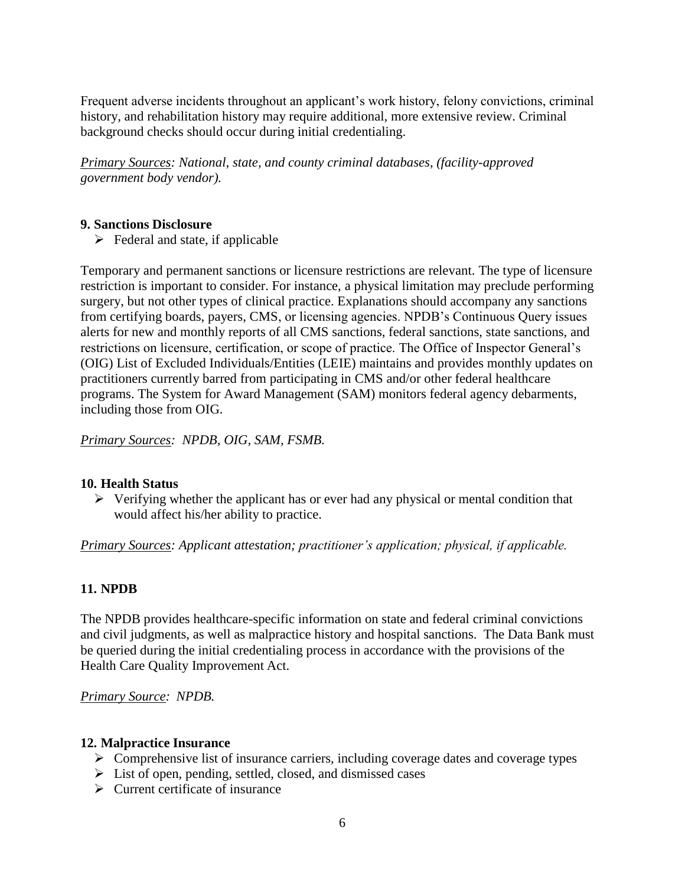Frequent adverse incidents throughout an applicant's work history, felony convictions, criminal history, and rehabilitation history may require additional, more extensive review. Criminal background checks should occur during initial credentialing.

*Primary Sources: National, state, and county criminal databases, (facility-approved government body vendor).*

### **9. Sanctions Disclosure**

 $\triangleright$  Federal and state, if applicable

Temporary and permanent sanctions or licensure restrictions are relevant. The type of licensure restriction is important to consider. For instance, a physical limitation may preclude performing surgery, but not other types of clinical practice. Explanations should accompany any sanctions from certifying boards, payers, CMS, or licensing agencies. NPDB's Continuous Query issues alerts for new and monthly reports of all CMS sanctions, federal sanctions, state sanctions, and restrictions on licensure, certification, or scope of practice. The Office of Inspector General's (OIG) List of Excluded Individuals/Entities (LEIE) maintains and provides monthly updates on practitioners currently barred from participating in CMS and/or other federal healthcare programs. The System for Award Management (SAM) monitors federal agency debarments, including those from OIG.

*Primary Sources: NPDB, OIG, SAM, FSMB.*

#### **10. Health Status**

 $\triangleright$  Verifying whether the applicant has or ever had any physical or mental condition that would affect his/her ability to practice.

*Primary Sources: Applicant attestation; practitioner's application; physical, if applicable.*

# **11. NPDB**

The NPDB provides healthcare-specific information on state and federal criminal convictions and civil judgments, as well as malpractice history and hospital sanctions. The Data Bank must be queried during the initial credentialing process in accordance with the provisions of the Health Care Quality Improvement Act.

*Primary Source: NPDB.*

#### **12. Malpractice Insurance**

- $\triangleright$  Comprehensive list of insurance carriers, including coverage dates and coverage types
- $\triangleright$  List of open, pending, settled, closed, and dismissed cases
- $\triangleright$  Current certificate of insurance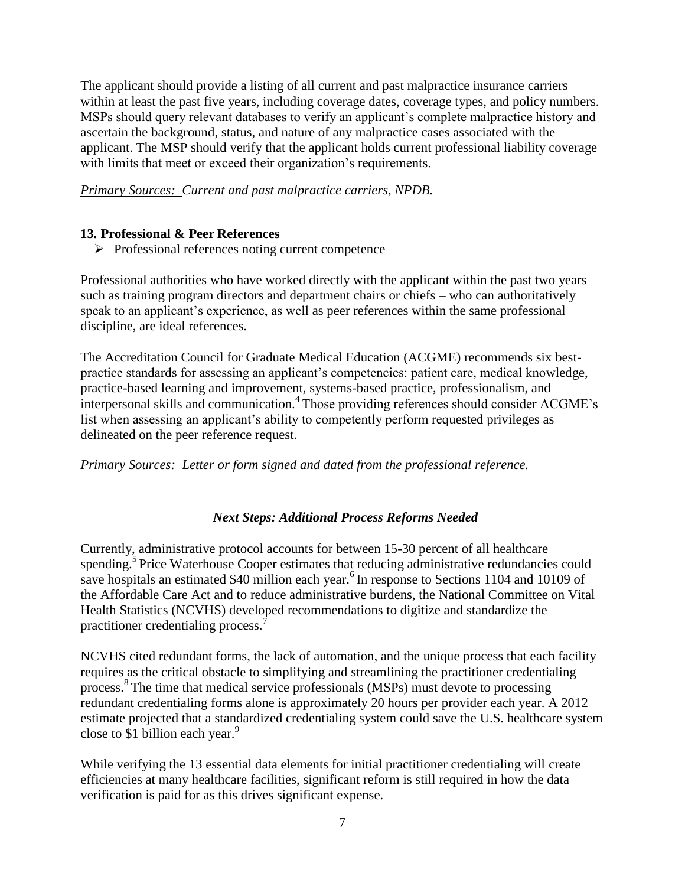The applicant should provide a listing of all current and past malpractice insurance carriers within at least the past five years, including coverage dates, coverage types, and policy numbers. MSPs should query relevant databases to verify an applicant's complete malpractice history and ascertain the background, status, and nature of any malpractice cases associated with the applicant. The MSP should verify that the applicant holds current professional liability coverage with limits that meet or exceed their organization's requirements.

*Primary Sources: Current and past malpractice carriers, NPDB.*

#### **13. Professional & Peer References**

 $\triangleright$  Professional references noting current competence

Professional authorities who have worked directly with the applicant within the past two years – such as training program directors and department chairs or chiefs – who can authoritatively speak to an applicant's experience, as well as peer references within the same professional discipline, are ideal references.

The Accreditation Council for Graduate Medical Education (ACGME) recommends six bestpractice standards for assessing an applicant's competencies: patient care, medical knowledge, practice-based learning and improvement, systems-based practice, professionalism, and interpersonal skills and communication.<sup>4</sup> Those providing references should consider ACGME's list when assessing an applicant's ability to competently perform requested privileges as delineated on the peer reference request.

*Primary Sources: Letter or form signed and dated from the professional reference.*

#### *Next Steps: Additional Process Reforms Needed*

Currently, administrative protocol accounts for between 15-30 percent of all healthcare spending.<sup>5</sup> Price Waterhouse Cooper estimates that reducing administrative redundancies could save hospitals an estimated \$40 million each year.<sup>6</sup> In response to Sections 1104 and 10109 of the Affordable Care Act and to reduce administrative burdens, the National Committee on Vital Health Statistics (NCVHS) developed recommendations to digitize and standardize the practitioner credentialing process.<sup>7</sup>

NCVHS cited redundant forms, the lack of automation, and the unique process that each facility requires as the critical obstacle to simplifying and streamlining the practitioner credentialing process.<sup>8</sup>The time that medical service professionals (MSPs) must devote to processing redundant credentialing forms alone is approximately 20 hours per provider each year. A 2012 estimate projected that a standardized credentialing system could save the U.S. healthcare system close to \$1 billion each year.<sup>9</sup>

While verifying the 13 essential data elements for initial practitioner credentialing will create efficiencies at many healthcare facilities, significant reform is still required in how the data verification is paid for as this drives significant expense.